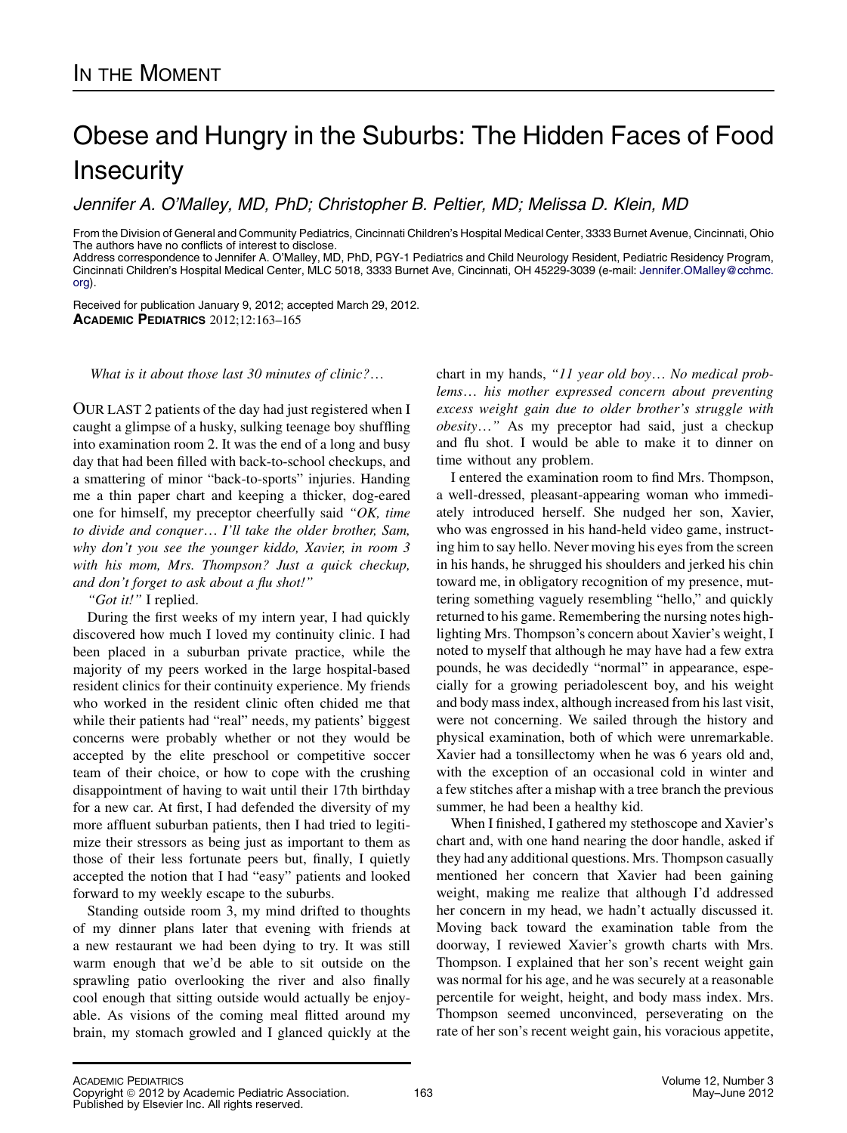## Obese and Hungry in the Suburbs: The Hidden Faces of Food **Insecurity**

Jennifer A. O'Malley, MD, PhD; Christopher B. Peltier, MD; Melissa D. Klein, MD

From the Division of General and Community Pediatrics, Cincinnati Children's Hospital Medical Center, 3333 Burnet Avenue, Cincinnati, Ohio The authors have no conflicts of interest to disclose.

Address correspondence to Jennifer A. O'Malley, MD, PhD, PGY-1 Pediatrics and Child Neurology Resident, Pediatric Residency Program, Cincinnati Children's Hospital Medical Center, MLC 5018, 3333 Burnet Ave, Cincinnati, OH 45229-3039 (e-mail: [Jennifer.OMalley@cchmc.](mailto:Jennifer.OMalley@cchmc.org) [org\)](mailto:Jennifer.OMalley@cchmc.org).

Received for publication January 9, 2012; accepted March 29, 2012. ACADEMIC PEDIATRICS 2012;12:163–165

What is it about those last 30 minutes of clinic?...

OUR LAST 2 patients of the day had just registered when I caught a glimpse of a husky, sulking teenage boy shuffling into examination room 2. It was the end of a long and busy day that had been filled with back-to-school checkups, and a smattering of minor "back-to-sports" injuries. Handing me a thin paper chart and keeping a thicker, dog-eared one for himself, my preceptor cheerfully said "OK, time to divide and conquer. I'll take the older brother, Sam, why don't you see the younger kiddo, Xavier, in room 3 with his mom, Mrs. Thompson? Just a quick checkup, and don't forget to ask about a flu shot!"

"Got it!" I replied.

During the first weeks of my intern year, I had quickly discovered how much I loved my continuity clinic. I had been placed in a suburban private practice, while the majority of my peers worked in the large hospital-based resident clinics for their continuity experience. My friends who worked in the resident clinic often chided me that while their patients had "real" needs, my patients' biggest concerns were probably whether or not they would be accepted by the elite preschool or competitive soccer team of their choice, or how to cope with the crushing disappointment of having to wait until their 17th birthday for a new car. At first, I had defended the diversity of my more affluent suburban patients, then I had tried to legitimize their stressors as being just as important to them as those of their less fortunate peers but, finally, I quietly accepted the notion that I had "easy" patients and looked forward to my weekly escape to the suburbs.

Standing outside room 3, my mind drifted to thoughts of my dinner plans later that evening with friends at a new restaurant we had been dying to try. It was still warm enough that we'd be able to sit outside on the sprawling patio overlooking the river and also finally cool enough that sitting outside would actually be enjoyable. As visions of the coming meal flitted around my brain, my stomach growled and I glanced quickly at the

chart in my hands, " $11$  year old boy... No medical problems... his mother expressed concern about preventing excess weight gain due to older brother's struggle with *obesity...*" As my preceptor had said, just a checkup and flu shot. I would be able to make it to dinner on time without any problem.

I entered the examination room to find Mrs. Thompson, a well-dressed, pleasant-appearing woman who immediately introduced herself. She nudged her son, Xavier, who was engrossed in his hand-held video game, instructing him to say hello. Never moving his eyes from the screen in his hands, he shrugged his shoulders and jerked his chin toward me, in obligatory recognition of my presence, muttering something vaguely resembling "hello," and quickly returned to his game. Remembering the nursing notes highlighting Mrs. Thompson's concern about Xavier's weight, I noted to myself that although he may have had a few extra pounds, he was decidedly "normal" in appearance, especially for a growing periadolescent boy, and his weight and body mass index, although increased from his last visit, were not concerning. We sailed through the history and physical examination, both of which were unremarkable. Xavier had a tonsillectomy when he was 6 years old and, with the exception of an occasional cold in winter and a few stitches after a mishap with a tree branch the previous summer, he had been a healthy kid.

When I finished, I gathered my stethoscope and Xavier's chart and, with one hand nearing the door handle, asked if they had any additional questions. Mrs. Thompson casually mentioned her concern that Xavier had been gaining weight, making me realize that although I'd addressed her concern in my head, we hadn't actually discussed it. Moving back toward the examination table from the doorway, I reviewed Xavier's growth charts with Mrs. Thompson. I explained that her son's recent weight gain was normal for his age, and he was securely at a reasonable percentile for weight, height, and body mass index. Mrs. Thompson seemed unconvinced, perseverating on the rate of her son's recent weight gain, his voracious appetite,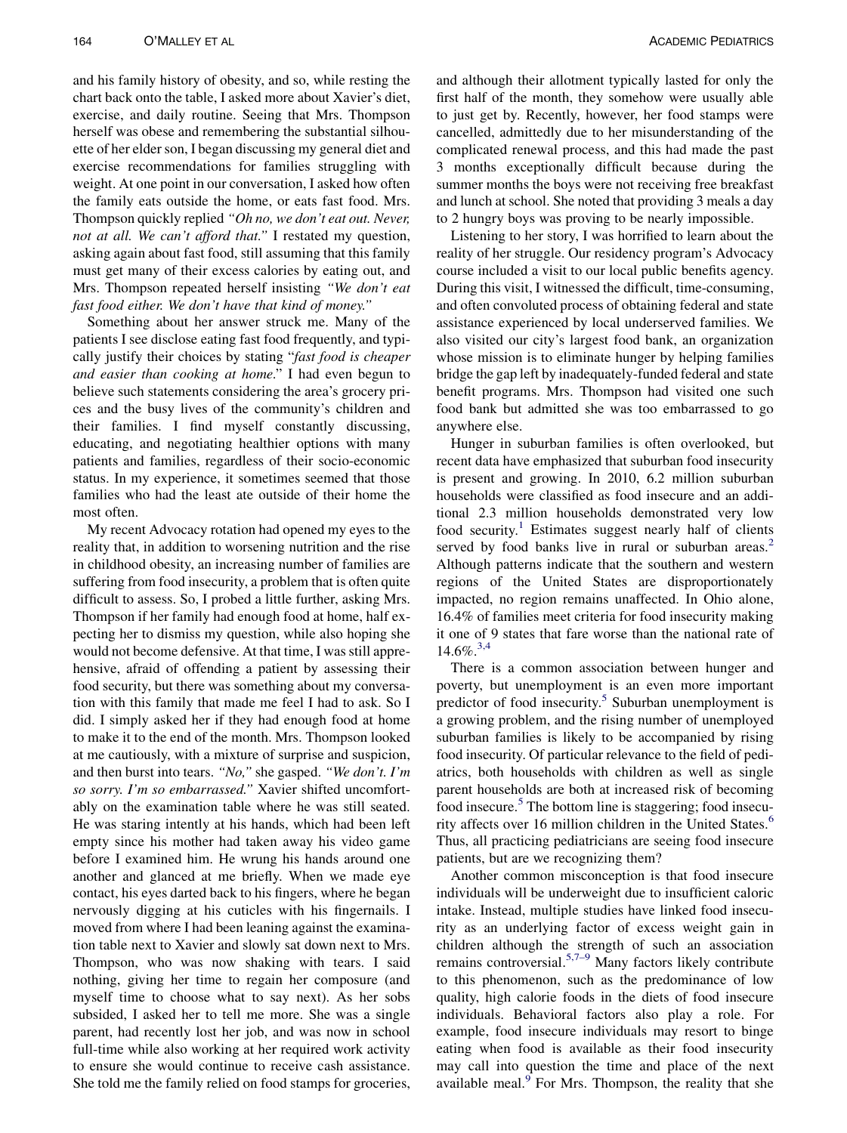and his family history of obesity, and so, while resting the chart back onto the table, I asked more about Xavier's diet, exercise, and daily routine. Seeing that Mrs. Thompson herself was obese and remembering the substantial silhouette of her elder son, I began discussing my general diet and exercise recommendations for families struggling with weight. At one point in our conversation, I asked how often the family eats outside the home, or eats fast food. Mrs. Thompson quickly replied "Oh no, we don't eat out. Never, not at all. We can't afford that." I restated my question, asking again about fast food, still assuming that this family must get many of their excess calories by eating out, and Mrs. Thompson repeated herself insisting "We don't eat fast food either. We don't have that kind of money."

Something about her answer struck me. Many of the patients I see disclose eating fast food frequently, and typically justify their choices by stating "fast food is cheaper and easier than cooking at home." I had even begun to believe such statements considering the area's grocery prices and the busy lives of the community's children and their families. I find myself constantly discussing, educating, and negotiating healthier options with many patients and families, regardless of their socio-economic status. In my experience, it sometimes seemed that those families who had the least ate outside of their home the most often.

My recent Advocacy rotation had opened my eyes to the reality that, in addition to worsening nutrition and the rise in childhood obesity, an increasing number of families are suffering from food insecurity, a problem that is often quite difficult to assess. So, I probed a little further, asking Mrs. Thompson if her family had enough food at home, half expecting her to dismiss my question, while also hoping she would not become defensive. At that time, I was still apprehensive, afraid of offending a patient by assessing their food security, but there was something about my conversation with this family that made me feel I had to ask. So I did. I simply asked her if they had enough food at home to make it to the end of the month. Mrs. Thompson looked at me cautiously, with a mixture of surprise and suspicion, and then burst into tears. "No," she gasped. "We don't. I'm so sorry. I'm so embarrassed." Xavier shifted uncomfortably on the examination table where he was still seated. He was staring intently at his hands, which had been left empty since his mother had taken away his video game before I examined him. He wrung his hands around one another and glanced at me briefly. When we made eye contact, his eyes darted back to his fingers, where he began nervously digging at his cuticles with his fingernails. I moved from where I had been leaning against the examination table next to Xavier and slowly sat down next to Mrs. Thompson, who was now shaking with tears. I said nothing, giving her time to regain her composure (and myself time to choose what to say next). As her sobs subsided, I asked her to tell me more. She was a single parent, had recently lost her job, and was now in school full-time while also working at her required work activity to ensure she would continue to receive cash assistance. She told me the family relied on food stamps for groceries,

and although their allotment typically lasted for only the first half of the month, they somehow were usually able to just get by. Recently, however, her food stamps were cancelled, admittedly due to her misunderstanding of the complicated renewal process, and this had made the past 3 months exceptionally difficult because during the summer months the boys were not receiving free breakfast and lunch at school. She noted that providing 3 meals a day to 2 hungry boys was proving to be nearly impossible.

Listening to her story, I was horrified to learn about the reality of her struggle. Our residency program's Advocacy course included a visit to our local public benefits agency. During this visit, I witnessed the difficult, time-consuming, and often convoluted process of obtaining federal and state assistance experienced by local underserved families. We also visited our city's largest food bank, an organization whose mission is to eliminate hunger by helping families bridge the gap left by inadequately-funded federal and state benefit programs. Mrs. Thompson had visited one such food bank but admitted she was too embarrassed to go anywhere else.

Hunger in suburban families is often overlooked, but recent data have emphasized that suburban food insecurity is present and growing. In 2010, 6.2 million suburban households were classified as food insecure and an additional 2.3 million households demonstrated very low food security.<sup>[1](#page-2-0)</sup> Estimates suggest nearly half of clients served by food banks live in rural or suburban areas.<sup>[2](#page-2-0)</sup> Although patterns indicate that the southern and western regions of the United States are disproportionately impacted, no region remains unaffected. In Ohio alone, 16.4% of families meet criteria for food insecurity making it one of 9 states that fare worse than the national rate of  $14.6\%$ <sup>[3,4](#page-2-0)</sup>

There is a common association between hunger and poverty, but unemployment is an even more important predictor of food insecurity.<sup>[5](#page-2-0)</sup> Suburban unemployment is a growing problem, and the rising number of unemployed suburban families is likely to be accompanied by rising food insecurity. Of particular relevance to the field of pediatrics, both households with children as well as single parent households are both at increased risk of becoming food insecure.<sup>[5](#page-2-0)</sup> The bottom line is staggering; food insecu-rity affects over 1[6](#page-2-0) million children in the United States.<sup>6</sup> Thus, all practicing pediatricians are seeing food insecure patients, but are we recognizing them?

Another common misconception is that food insecure individuals will be underweight due to insufficient caloric intake. Instead, multiple studies have linked food insecurity as an underlying factor of excess weight gain in children although the strength of such an association remains controversial.[5,7–9](#page-2-0) Many factors likely contribute to this phenomenon, such as the predominance of low quality, high calorie foods in the diets of food insecure individuals. Behavioral factors also play a role. For example, food insecure individuals may resort to binge eating when food is available as their food insecurity may call into question the time and place of the next available meal.<sup>[9](#page-2-0)</sup> For Mrs. Thompson, the reality that she